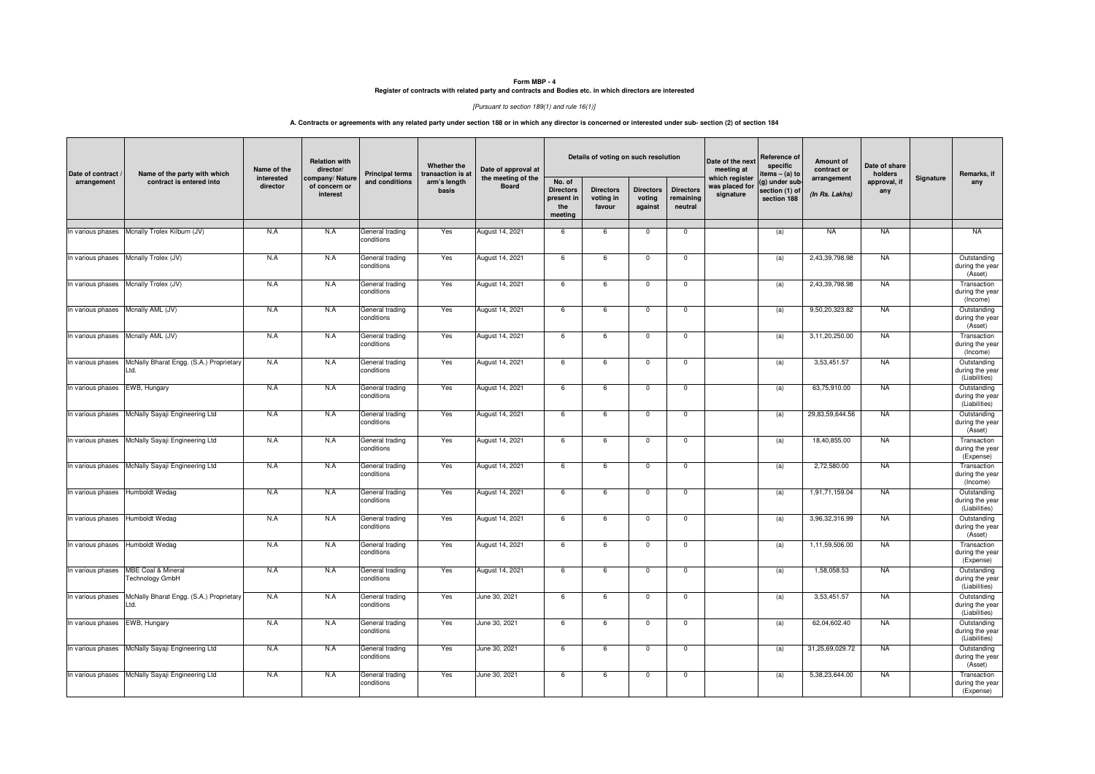## **Form MBP - 4 Register of contracts with related party and contracts and Bodies etc. in which directors are interested**

## [Pursuant to section 189(1) and rule 16(1)]

## **A. Contracts or agreements with any related party under section 188 or in which any director is concerned or interested under sub- section (2) of section 184**

| Date of contract /<br>arrangement  | Name of the party with which<br>contract is entered into | Name of the<br>interested<br>director | <b>Relation with</b><br>director/<br>company/Nature<br>of concern or<br>interest | <b>Principal terms</b><br>and conditions | Whether the<br>transaction is at<br>arm's length<br>basis | Date of approval at<br>the meeting of the<br><b>Board</b> | Details of voting on such resolution                       |                                         |                                       |                                          | Date of the next<br>meeting at                | Reference of<br>specific<br>items - (a) to     | Amount of<br>contract or      | Date of share<br>holders |           | Remarks, if                                     |
|------------------------------------|----------------------------------------------------------|---------------------------------------|----------------------------------------------------------------------------------|------------------------------------------|-----------------------------------------------------------|-----------------------------------------------------------|------------------------------------------------------------|-----------------------------------------|---------------------------------------|------------------------------------------|-----------------------------------------------|------------------------------------------------|-------------------------------|--------------------------|-----------|-------------------------------------------------|
|                                    |                                                          |                                       |                                                                                  |                                          |                                                           |                                                           | No. of<br><b>Directors</b><br>present in<br>the<br>meeting | <b>Directors</b><br>voting in<br>favour | <b>Directors</b><br>voting<br>against | <b>Directors</b><br>remaining<br>neutral | which register<br>was placed for<br>signature | g) under sub-<br>section (1) of<br>section 188 | arrangement<br>(In Rs. Lakhs) | approval, if<br>any      | Signature | any                                             |
|                                    | In various phases Mcnally Trolex Kilburn (JV)            | N.A                                   | N.A                                                                              | General trading<br>conditions            | Yes                                                       | August 14, 2021                                           | 6                                                          | 6                                       | $\mathbf 0$                           | $^{\circ}$                               |                                               | (a)                                            | <b>NA</b>                     | <b>NA</b>                |           | <b>NA</b>                                       |
| In various phases                  | Mcnally Trolex (JV)                                      | N.A                                   | N.A                                                                              | General trading<br>conditions            | Yes                                                       | August 14, 2021                                           | 6                                                          | $\,6\,$                                 | $\mathbf 0$                           | $\mathsf 0$                              |                                               | (a)                                            | 2,43,39,798.98                | <b>NA</b>                |           | Outstanding<br>during the year<br>(Asset)       |
|                                    | In various phases Mcnally Trolex (JV)                    | N.A                                   | N.A                                                                              | General trading<br>conditions            | Yes                                                       | August 14, 2021                                           | 6                                                          | 6                                       | $\overline{0}$                        | $\overline{\mathbf{0}}$                  |                                               | (a)                                            | 2,43,39,798.98                | <b>NA</b>                |           | Transaction<br>during the year<br>(Income)      |
| In various phases Mcnally AML (JV) |                                                          | N.A                                   | N.A                                                                              | General trading<br>conditions            | Yes                                                       | August 14, 2021                                           | 6                                                          | 6                                       | $\mathbf 0$                           | $\mathsf 0$                              |                                               | (a)                                            | 9,50,20,323.82                | <b>NA</b>                |           | Outstanding<br>during the year<br>(Asset)       |
| In various phases Mcnally AML (JV) |                                                          | N.A                                   | N.A                                                                              | General trading<br>conditions            | Yes                                                       | August 14, 2021                                           | 6                                                          | 6                                       | $\mathsf 0$                           | $\mathsf 0$                              |                                               | (a)                                            | 3,11,20,250.00                | <b>NA</b>                |           | Transaction<br>during the year<br>(Income)      |
| In various phases                  | McNally Bharat Engg. (S.A.) Proprietary<br>Ltd.          | N.A                                   | N.A                                                                              | General trading<br>conditions            | Yes                                                       | August 14, 2021                                           | 6                                                          | 6                                       | $\mathbf 0$                           | $^{\circ}$                               |                                               | (a)                                            | 3.53.451.57                   | <b>NA</b>                |           | Outstanding<br>during the year<br>(Liabilities) |
| In various phases EWB, Hungary     |                                                          | N.A                                   | N.A                                                                              | General trading<br>conditions            | Yes                                                       | August 14, 2021                                           | 6                                                          | 6                                       | $\mathsf 0$                           | $\mathsf 0$                              |                                               | (a)                                            | 63,75,910.00                  | <b>NA</b>                |           | Outstanding<br>during the year<br>(Liabilities) |
| In various phases                  | McNally Sayaji Engineering Ltd                           | N.A                                   | N.A                                                                              | General trading<br>conditions            | Yes                                                       | August 14, 2021                                           | 6                                                          | 6                                       | $\overline{0}$                        | $\overline{\mathbf{0}}$                  |                                               | (a)                                            | 29,83,59,644.56               | <b>NA</b>                |           | Outstanding<br>during the year<br>(Asset)       |
| In various phases                  | McNally Sayaji Engineering Ltd                           | N.A                                   | N.A                                                                              | General trading<br>conditions            | Yes                                                       | August 14, 2021                                           | 6                                                          | 6                                       | $\mathbf 0$                           | $\mathsf 0$                              |                                               | (a)                                            | 18,40,855.00                  | <b>NA</b>                |           | Transaction<br>during the year<br>(Expense)     |
| In various phases                  | McNally Sayaji Engineering Ltd                           | N.A                                   | N.A                                                                              | General trading<br>conditions            | Yes                                                       | August 14, 2021                                           | 6                                                          | 6                                       | $\mathbf 0$                           | $\mathsf 0$                              |                                               | (a)                                            | 2,72,580.00                   | <b>NA</b>                |           | Transaction<br>during the year<br>(Income)      |
| In various phases                  | Humboldt Wedag                                           | N.A                                   | N.A                                                                              | General trading<br>conditions            | Yes                                                       | August 14, 2021                                           | 6                                                          | 6                                       | $\mathbf 0$                           | $\mathsf 0$                              |                                               | (a)                                            | 1,91,71,159.04                | <b>NA</b>                |           | Outstanding<br>during the year<br>(Liabilities) |
| In various phases Humboldt Wedag   |                                                          | N.A                                   | N.A                                                                              | General trading<br>conditions            | Yes                                                       | August 14, 2021                                           | 6                                                          | 6                                       | $\overline{0}$                        | $\overline{\mathbf{0}}$                  |                                               | (a)                                            | 3,96,32,316.99                | <b>NA</b>                |           | Outstanding<br>during the year<br>(Asset)       |
| In various phases                  | Humboldt Wedag                                           | N.A                                   | N.A                                                                              | General trading<br>conditions            | Yes                                                       | August 14, 2021                                           | 6                                                          | 6                                       | $\mathbf 0$                           | $^{\circ}$                               |                                               | (a)                                            | 1,11,59,506.00                | <b>NA</b>                |           | Transaction<br>during the year<br>(Expense)     |
| In various phases                  | MBE Coal & Mineral<br>Technology GmbH                    | N.A                                   | N.A                                                                              | General trading<br>conditions            | Yes                                                       | August 14, 2021                                           | 6                                                          | 6                                       | $\mathbf 0$                           | $\mathbf 0$                              |                                               | (a)                                            | 1.58.058.53                   | <b>NA</b>                |           | Outstanding<br>during the year<br>(Liabilities) |
| In various phases                  | McNally Bharat Engg. (S.A.) Proprietary<br>Ltd.          | N.A                                   | N.A                                                                              | General trading<br>conditions            | Yes                                                       | June 30, 2021                                             | 6                                                          | 6                                       | $\mathbf 0$                           | $\mathsf 0$                              |                                               | (a)                                            | 3,53,451.57                   | <b>NA</b>                |           | Outstanding<br>during the year<br>(Liabilities) |
| In various phases EWB, Hungary     |                                                          | N.A                                   | N.A                                                                              | General trading<br>conditions            | Yes                                                       | June 30, 2021                                             | 6                                                          | 6                                       | $\mathbf 0$                           | $^{\circ}$                               |                                               | (a)                                            | 62,04,602.40                  | <b>NA</b>                |           | Outstanding<br>during the year<br>(Liabilities) |
| In various phases                  | McNally Sayaji Engineering Ltd                           | N.A                                   | N.A                                                                              | General trading<br>conditions            | Yes                                                       | June 30, 2021                                             | 6                                                          | 6                                       | $\mathbf 0$                           | $\mathsf 0$                              |                                               | (a)                                            | 31,25,69,029.72               | <b>NA</b>                |           | Outstanding<br>during the year<br>(Asset)       |
| In various phases                  | McNally Sayaji Engineering Ltd                           | N.A                                   | N.A                                                                              | General trading<br>conditions            | Yes                                                       | June 30, 2021                                             | 6                                                          | 6                                       | $\mathbf 0$                           | $^{\circ}$                               |                                               | (a)                                            | 5.38.23.644.00                | <b>NA</b>                |           | Transaction<br>during the year<br>(Expense)     |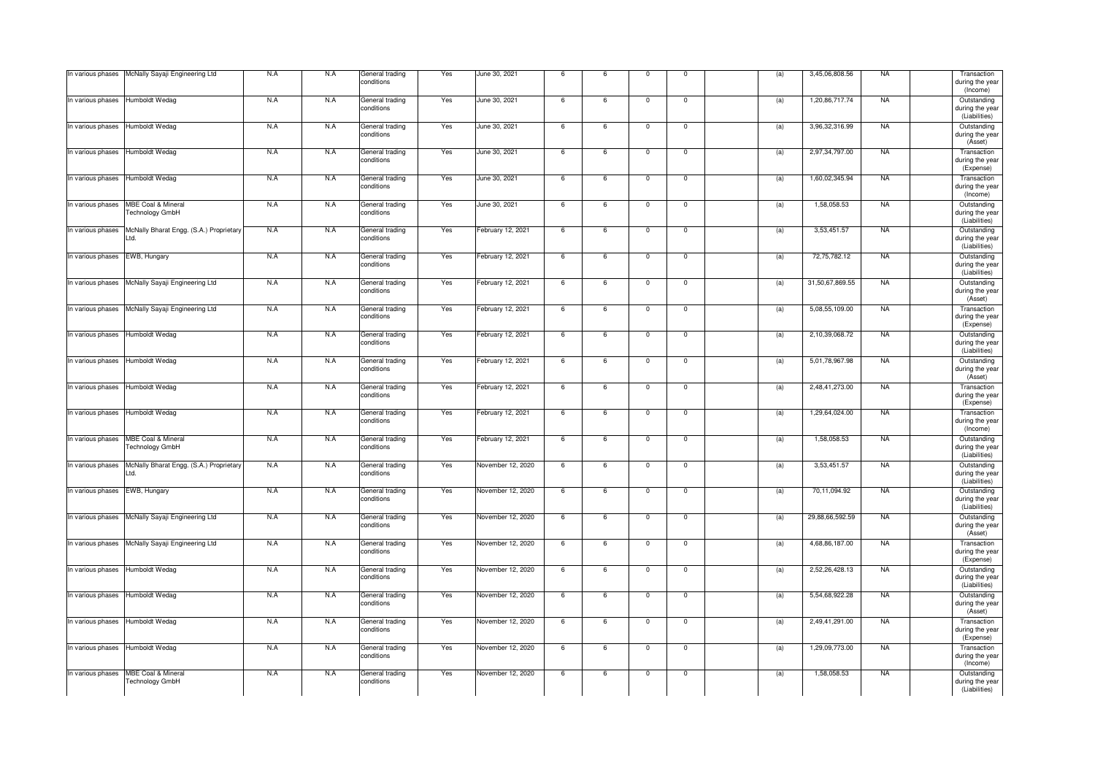| In various phases                | McNally Sayaji Engineering Ltd                     | N.A | N.A | General trading<br>conditions | Yes | June 30, 2021     | 6  | 6               | $\mathbf 0$             | $\mathbf 0$    | (a) | 3,45,06,808.56  | <b>NA</b> | Transaction<br>during the year<br>(Income)                  |
|----------------------------------|----------------------------------------------------|-----|-----|-------------------------------|-----|-------------------|----|-----------------|-------------------------|----------------|-----|-----------------|-----------|-------------------------------------------------------------|
| In various phases Humboldt Wedag |                                                    | N.A | N.A | General trading<br>conditions | Yes | June 30, 2021     | -6 | 6               | $\mathbf 0$             | $\mathbf 0$    | (a) | 1,20,86,717.74  | <b>NA</b> | Outstanding<br>during the year<br>(Liabilities)             |
| In various phases                | Humboldt Wedag                                     | N.A | N.A | General trading<br>conditions | Yes | June 30, 2021     | 6  | 6               | $\mathbf 0$             | $\mathbf 0$    | (a) | 3,96,32,316.99  | <b>NA</b> | Outstanding<br>during the year<br>(Asset)                   |
| In various phases                | Humboldt Wedag                                     | N.A | N.A | General trading<br>conditions | Yes | June 30, 2021     | 6  | 6               | $\mathbf 0$             | $\mathbf 0$    | (a) | 2,97,34,797.00  | <b>NA</b> | Transaction<br>during the year<br>(Expense)                 |
| In various phases                | Humboldt Wedag                                     | N.A | N.A | General trading<br>conditions | Yes | June 30, 2021     | 6  | 6               | $\mathsf 0$             | $\mathsf 0$    | (a) | 1,60,02,345.94  | <b>NA</b> | Transaction<br>during the year<br>(Income)                  |
| In various phases                | MBE Coal & Mineral<br>Technology GmbH              | N.A | N.A | General trading<br>conditions | Yes | June 30, 2021     | 6  | 6               | $\overline{0}$          | $\overline{0}$ | (a) | 1.58.058.53     | <b>NA</b> | Outstanding<br>during the year                              |
| In various phases                | McNally Bharat Engg. (S.A.) Proprietary<br>Ltd.    | N.A | N.A | General trading<br>conditions | Yes | February 12, 2021 | 6  | 6               | $\mathbf 0$             | $\mathbf 0$    | (a) | 3,53,451.57     | <b>NA</b> | (Liabilities)<br>Outstanding<br>during the yea              |
| In various phases                | EWB, Hungary                                       | N.A | N.A | General trading<br>conditions | Yes | February 12, 2021 | 6  | 6               | $\overline{\mathbf{0}}$ | $\overline{0}$ | (a) | 72,75,782.12    | <b>NA</b> | (Liabilities)<br>Outstanding<br>during the year             |
|                                  | In various phases   McNally Sayaji Engineering Ltd | N.A | N.A | General trading<br>conditions | Yes | February 12, 2021 | 6  | 6               | $\mathbf 0$             | $\mathbf 0$    | (a) | 31,50,67,869.55 | <b>NA</b> | (Liabilities)<br>Outstanding<br>during the year             |
| In various phases                | McNally Sayaji Engineering Ltd                     | N.A | N.A | General trading<br>conditions | Yes | February 12, 2021 | 6  | 6               | $\mathbf{0}$            | $\mathbf 0$    | (a) | 5,08,55,109.00  | <b>NA</b> | (Asset)<br>Transaction<br>during the year                   |
| In various phases Humboldt Wedag |                                                    | N.A | N.A | General trading<br>conditions | Yes | February 12, 2021 | 6  | 6               | $\mathbf 0$             | $\mathbf 0$    | (a) | 2,10,39,068.72  | <b>NA</b> | (Expense)<br>Outstanding<br>during the year                 |
| In various phases                | Humboldt Wedag                                     | N.A | N.A | General trading<br>conditions | Yes | February 12, 2021 | 6  | $6\overline{6}$ | $\Omega$                | $\Omega$       | (a) | 5,01,78,967.98  | <b>NA</b> | (Liabilities)<br>Outstanding<br>during the year             |
| In various phases                | Humboldt Wedag                                     | N.A | N.A | General trading<br>conditions | Yes | February 12, 2021 | -6 | 6               | $\overline{0}$          | $\overline{0}$ | (a) | 2,48,41,273.00  | <b>NA</b> | (Asset)<br>Transaction<br>during the year                   |
| In various phases                | Humboldt Wedag                                     | N.A | N.A | General trading<br>conditions | Yes | February 12, 2021 | 6  | 6               | $\mathsf 0$             | $\mathsf 0$    | (a) | 1,29,64,024.00  | <b>NA</b> | (Expense)<br>Transaction<br>during the year                 |
| In various phases                | <b>MBE Coal &amp; Mineral</b><br>Technology GmbH   | N.A | N.A | General trading<br>conditions | Yes | February 12, 2021 | 6  | 6               | $\Omega$                | $\Omega$       | (a) | 1,58,058.53     | <b>NA</b> | (Income)<br>Outstanding<br>during the year                  |
| In various phases                | McNally Bharat Engg. (S.A.) Proprietary<br>Ltd.    | N.A | N.A | General trading<br>conditions | Yes | November 12, 2020 | 6  | 6               | $\mathbf 0$             | $\mathsf 0$    | (a) | 3,53,451.57     | <b>NA</b> | (Liabilities)<br>Outstanding<br>during the yea              |
| In various phases                | EWB, Hungary                                       | N.A | N.A | General trading<br>conditions | Yes | November 12, 2020 | 6  | 6               | $\overline{0}$          | $\overline{0}$ | (a) | 70,11,094.92    | <b>NA</b> | (Liabilities)<br>Outstanding<br>during the year             |
| In various phases                | McNally Sayaji Engineering Ltd                     | N.A | N.A | General trading<br>conditions | Yes | November 12, 2020 | 6  | 6               | $\mathbf 0$             | $\mathbf 0$    | (a) | 29,88,66,592.59 | <b>NA</b> | (Liabilities)<br>Outstanding<br>during the year             |
| In various phases                | McNally Sayaji Engineering Ltd                     | N.A | N.A | General trading<br>conditions | Yes | November 12, 2020 | 6  | 6               | $\overline{0}$          | $\mathbf 0$    | (a) | 4,68,86,187.00  | <b>NA</b> | (Asset)<br>Transaction<br>during the year                   |
| In various phases Humboldt Wedag |                                                    | N.A | N.A | General trading<br>conditions | Yes | November 12, 2020 | 6  | 6               | $\overline{0}$          | $\mathbf 0$    | (a) | 2,52,26,428.13  | <b>NA</b> | (Expense)<br>Outstanding<br>during the year                 |
| In various phases                | Humboldt Wedag                                     | N.A | N.A | General trading<br>conditions | Yes | November 12, 2020 | 6  | 6               | $\mathbf 0$             | $\mathsf 0$    | (a) | 5,54,68,922.28  | <b>NA</b> | (Liabilities)<br>Outstanding<br>during the year             |
| In various phases                | Humboldt Wedag                                     | N.A | N.A | General trading<br>conditions | Yes | November 12, 2020 | -6 | 6               | $\overline{0}$          | $^{\circ}$     | (a) | 2.49.41.291.00  | <b>NA</b> | (Asset)<br>Transaction<br>during the year                   |
| In various phases                | Humboldt Wedag                                     | N.A | N.A | General trading<br>conditions | Yes | November 12, 2020 | 6  | 6               | $\mathsf 0$             | $\mathsf 0$    | (a) | 1,29,09,773.00  | <b>NA</b> | (Expense)<br>Transaction<br>during the year                 |
| In various phases                | <b>MBE Coal &amp; Mineral</b><br>Technology GmbH   | N.A | N.A | General trading<br>conditions | Yes | November 12, 2020 | 6  | 6               | $\mathbf 0$             | $\mathbf{0}$   | (a) | 1,58,058.53     | <b>NA</b> | (Income)<br>Outstanding<br>during the year<br>(Liabilities) |